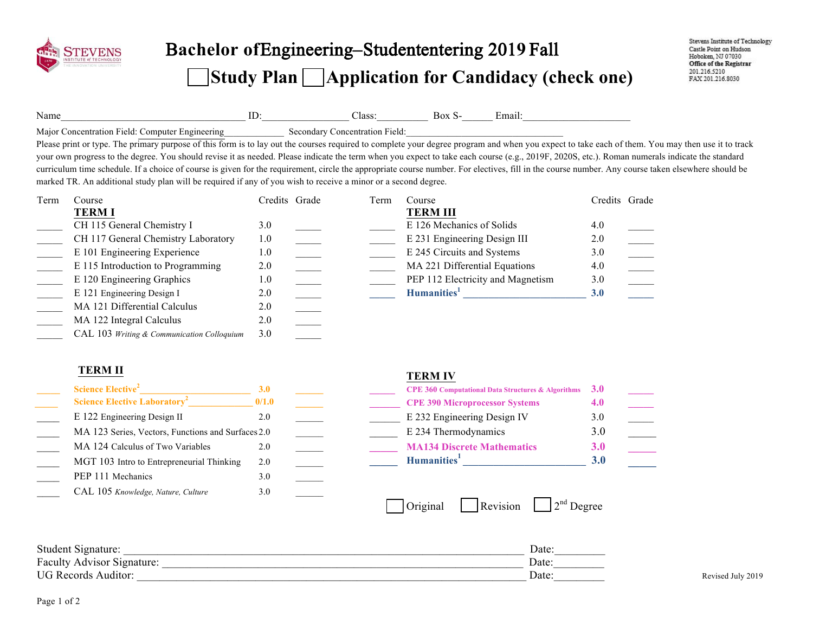

# Bachelor of Engineering–Studententering 2019 Fall **Study Plan Application for Candidacy (check one)**

| Name |                                                                                                                                                                                                    | ID:           |                                | Class: | Box S-<br>Email:                  |               |  |
|------|----------------------------------------------------------------------------------------------------------------------------------------------------------------------------------------------------|---------------|--------------------------------|--------|-----------------------------------|---------------|--|
|      | Major Concentration Field: Computer Engineering                                                                                                                                                    |               | Secondary Concentration Field: |        |                                   |               |  |
|      | Please print or type. The primary purpose of this form is to lay out the courses required to complete your degree program and when you expect to take each of them. You may then use it to track   |               |                                |        |                                   |               |  |
|      | your own progress to the degree. You should revise it as needed. Please indicate the term when you expect to take each course (e.g., 2019F, 2020S, etc.). Roman numerals indicate the standard     |               |                                |        |                                   |               |  |
|      | curriculum time schedule. If a choice of course is given for the requirement, circle the appropriate course number. For electives, fill in the course number. Any course taken elsewhere should be |               |                                |        |                                   |               |  |
|      | marked TR. An additional study plan will be required if any of you wish to receive a minor or a second degree.                                                                                     |               |                                |        |                                   |               |  |
| Term | Course                                                                                                                                                                                             | Credits Grade |                                | Term   | Course                            | Credits Grade |  |
|      | <b>TERMI</b>                                                                                                                                                                                       |               |                                |        | <b>TERM III</b>                   |               |  |
|      | CH 115 General Chemistry I                                                                                                                                                                         | 3.0           |                                |        | E 126 Mechanics of Solids         | 4.0           |  |
|      | CH 117 General Chemistry Laboratory                                                                                                                                                                | 1.0           |                                |        | E 231 Engineering Design III      | 2.0           |  |
|      | E 101 Engineering Experience                                                                                                                                                                       | 1.0           |                                |        | E 245 Circuits and Systems        | 3.0           |  |
|      | E 115 Introduction to Programming                                                                                                                                                                  | 2.0           |                                |        | MA 221 Differential Equations     | 4.0           |  |
|      | E 120 Engineering Graphics                                                                                                                                                                         | 1.0           |                                |        | PEP 112 Electricity and Magnetism | 3.0           |  |
|      | E 121 Engineering Design I                                                                                                                                                                         | 2.0           |                                |        | Humanities <sup>1</sup>           | 3.0           |  |
|      | MA 121 Differential Calculus                                                                                                                                                                       | 2.0           |                                |        |                                   |               |  |
|      | MA 122 Integral Calculus                                                                                                                                                                           | 2.0           |                                |        |                                   |               |  |
|      | CAL 103 Writing & Communication Colloquium                                                                                                                                                         | 3.0           |                                |        |                                   |               |  |

### **TERM II TERM IV**

| <b>Science Elective<sup>2</sup></b>                | <b>3.0</b> |  |
|----------------------------------------------------|------------|--|
| <b>Science Elective Laboratory<sup>2</sup></b>     | 0/1.0      |  |
| E 122 Engineering Design II                        | 2.0        |  |
| MA 123 Series, Vectors, Functions and Surfaces 2.0 |            |  |
| MA 124 Calculus of Two Variables                   | 2.0        |  |
| MGT 103 Intro to Entrepreneurial Thinking          | 2.0        |  |
| PEP 111 Mechanics                                  | 3.0        |  |
| CAL 105 Knowledge, Nature, Culture                 | 3.0        |  |

| Science Elective <sup>2</sup>                      |       |  | <b>CPE 360 Computational Data Structures &amp; Algorithms</b> $3.0$ |  |
|----------------------------------------------------|-------|--|---------------------------------------------------------------------|--|
| <b>Science Elective Laboratory<sup>2</sup></b>     | 0/1.0 |  | <b>CPE 390 Microprocessor Systems</b>                               |  |
| E 122 Engineering Design II                        |       |  | E 232 Engineering Design IV                                         |  |
| MA 123 Series, Vectors, Functions and Surfaces 2.0 |       |  | E 234 Thermodynamics                                                |  |
| MA 124 Calculus of Two Variables                   |       |  | <b>MA134 Discrete Mathematics</b>                                   |  |
| MGT 103 Intro to Entrepreneurial Thinking          |       |  | Humanities <sup>1</sup>                                             |  |

|  | <u>Criginal</u> | <b>Revision</b> | $2nd$ Degree |
|--|-----------------|-----------------|--------------|
|--|-----------------|-----------------|--------------|

Student Signature:  $\Box$ Faculty Advisor Signature:  $\Box$ UG Records Auditor: Revised July 2019